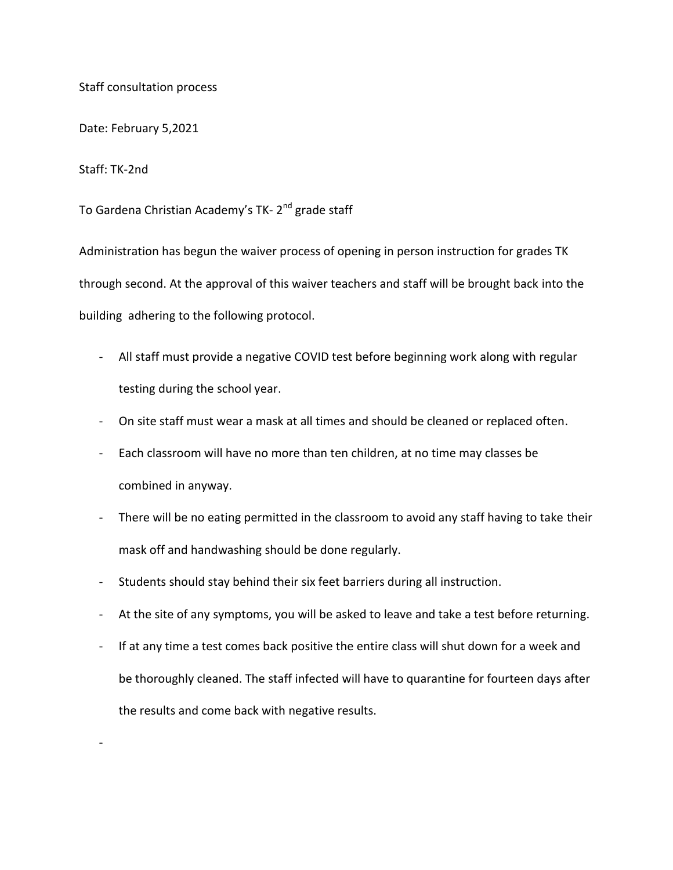Staff consultation process

Date: February 5,2021

Staff: TK-2nd

-

To Gardena Christian Academy's TK- 2<sup>nd</sup> grade staff

Administration has begun the waiver process of opening in person instruction for grades TK through second. At the approval of this waiver teachers and staff will be brought back into the building adhering to the following protocol.

- All staff must provide a negative COVID test before beginning work along with regular testing during the school year.
- On site staff must wear a mask at all times and should be cleaned or replaced often.
- Each classroom will have no more than ten children, at no time may classes be combined in anyway.
- There will be no eating permitted in the classroom to avoid any staff having to take their mask off and handwashing should be done regularly.
- Students should stay behind their six feet barriers during all instruction.
- At the site of any symptoms, you will be asked to leave and take a test before returning.
- If at any time a test comes back positive the entire class will shut down for a week and be thoroughly cleaned. The staff infected will have to quarantine for fourteen days after the results and come back with negative results.